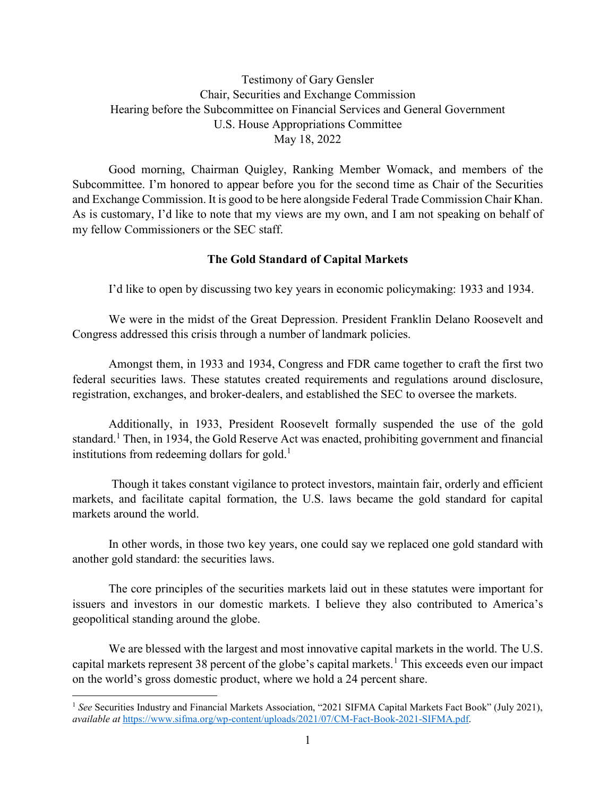Testimony of Gary Gensler Chair, Securities and Exchange Commission Hearing before the Subcommittee on Financial Services and General Government U.S. House Appropriations Committee May 18, 2022

Good morning, Chairman Quigley, Ranking Member Womack, and members of the Subcommittee. I'm honored to appear before you for the second time as Chair of the Securities and Exchange Commission. It is good to be here alongside Federal Trade Commission Chair Khan. As is customary, I'd like to note that my views are my own, and I am not speaking on behalf of my fellow Commissioners or the SEC staff.

### **The Gold Standard of Capital Markets**

I'd like to open by discussing two key years in economic policymaking: 1933 and 1934.

We were in the midst of the Great Depression. President Franklin Delano Roosevelt and Congress addressed this crisis through a number of landmark policies.

Amongst them, in 1933 and 1934, Congress and FDR came together to craft the first two federal securities laws. These statutes created requirements and regulations around disclosure, registration, exchanges, and broker-dealers, and established the SEC to oversee the markets.

Additionally, in 1933, President Roosevelt formally suspended the use of the gold standard.<sup>1</sup> Then, in 1934, the Gold Reserve Act was enacted, prohibiting government and financial institutions from redeeming dollars for gold.<sup>1</sup>

Though it takes constant vigilance to protect investors, maintain fair, orderly and efficient markets, and facilitate capital formation, the U.S. laws became the gold standard for capital markets around the world.

In other words, in those two key years, one could say we replaced one gold standard with another gold standard: the securities laws.

The core principles of the securities markets laid out in these statutes were important for issuers and investors in our domestic markets. I believe they also contributed to America's geopolitical standing around the globe.

We are blessed with the largest and most innovative capital markets in the world. The U.S. capital markets represent 38 percent of the globe's capital markets.<sup>[1](#page-0-0)</sup> This exceeds even our impact on the world's gross domestic product, where we hold a 24 percent share.

l

<span id="page-0-0"></span><sup>&</sup>lt;sup>1</sup> See Securities Industry and Financial Markets Association, "2021 SIFMA Capital Markets Fact Book" (July 2021), *available at* [https://www.sifma.org/wp-content/uploads/2021/07/CM-Fact-Book-2021-SIFMA.pdf.](https://www.sifma.org/wp-content/uploads/2021/07/CM-Fact-Book-2021-SIFMA.pdf)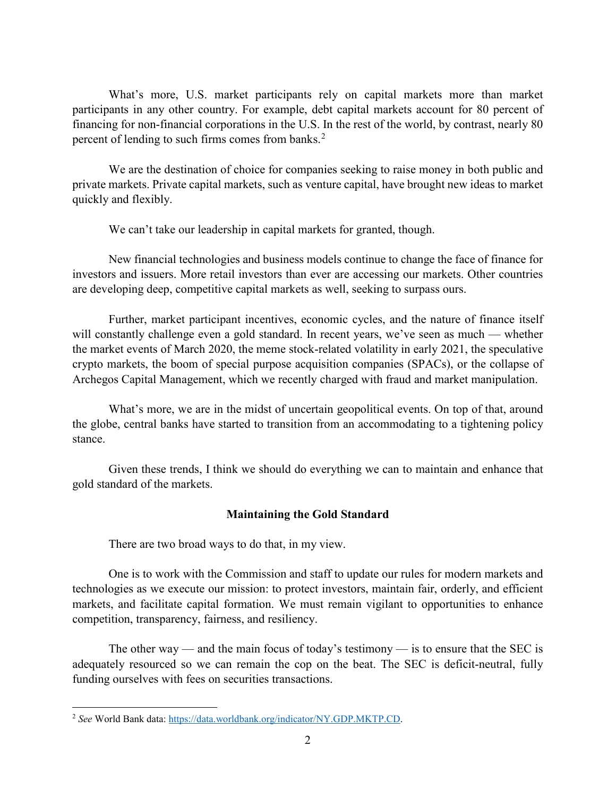What's more, U.S. market participants rely on capital markets more than market participants in any other country. For example, debt capital markets account for 80 percent of financing for non-financial corporations in the U.S. In the rest of the world, by contrast, nearly 80 percent of lending to such firms comes from banks.<sup>[2](#page-1-0)</sup>

We are the destination of choice for companies seeking to raise money in both public and private markets. Private capital markets, such as venture capital, have brought new ideas to market quickly and flexibly.

We can't take our leadership in capital markets for granted, though.

New financial technologies and business models continue to change the face of finance for investors and issuers. More retail investors than ever are accessing our markets. Other countries are developing deep, competitive capital markets as well, seeking to surpass ours.

Further, market participant incentives, economic cycles, and the nature of finance itself will constantly challenge even a gold standard. In recent years, we've seen as much — whether the market events of March 2020, the meme stock-related volatility in early 2021, the speculative crypto markets, the boom of special purpose acquisition companies (SPACs), or the collapse of Archegos Capital Management, which we recently charged with fraud and market manipulation.

What's more, we are in the midst of uncertain geopolitical events. On top of that, around the globe, central banks have started to transition from an accommodating to a tightening policy stance.

Given these trends, I think we should do everything we can to maintain and enhance that gold standard of the markets.

# **Maintaining the Gold Standard**

There are two broad ways to do that, in my view.

One is to work with the Commission and staff to update our rules for modern markets and technologies as we execute our mission: to protect investors, maintain fair, orderly, and efficient markets, and facilitate capital formation. We must remain vigilant to opportunities to enhance competition, transparency, fairness, and resiliency.

The other way — and the main focus of today's testimony — is to ensure that the SEC is adequately resourced so we can remain the cop on the beat. The SEC is deficit-neutral, fully funding ourselves with fees on securities transactions.

<span id="page-1-0"></span>l <sup>2</sup> *See* World Bank data[: https://data.worldbank.org/indicator/NY.GDP.MKTP.CD.](https://data.worldbank.org/indicator/NY.GDP.MKTP.CD)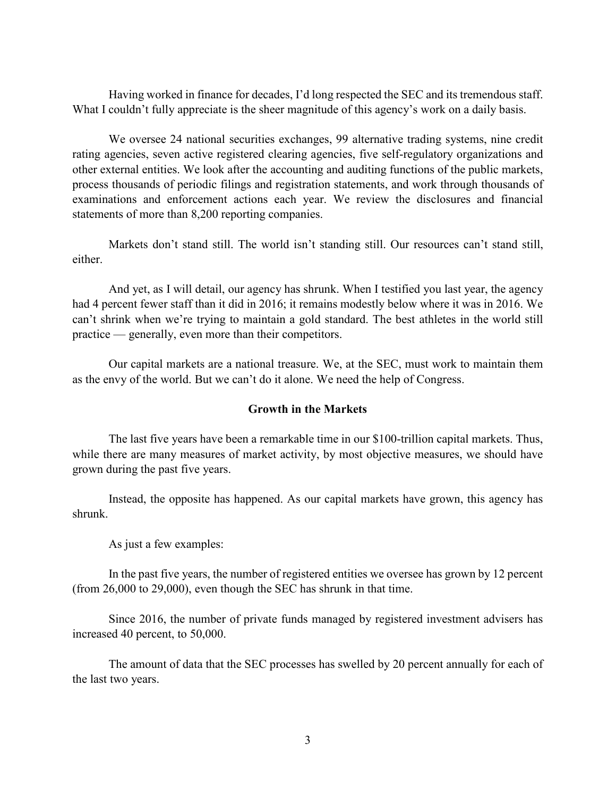Having worked in finance for decades, I'd long respected the SEC and its tremendous staff. What I couldn't fully appreciate is the sheer magnitude of this agency's work on a daily basis.

We oversee 24 national securities exchanges, 99 alternative trading systems, nine credit rating agencies, seven active registered clearing agencies, five self-regulatory organizations and other external entities. We look after the accounting and auditing functions of the public markets, process thousands of periodic filings and registration statements, and work through thousands of examinations and enforcement actions each year. We review the disclosures and financial statements of more than 8,200 reporting companies.

Markets don't stand still. The world isn't standing still. Our resources can't stand still, either.

And yet, as I will detail, our agency has shrunk. When I testified you last year, the agency had 4 percent fewer staff than it did in 2016; it remains modestly below where it was in 2016. We can't shrink when we're trying to maintain a gold standard. The best athletes in the world still practice — generally, even more than their competitors.

Our capital markets are a national treasure. We, at the SEC, must work to maintain them as the envy of the world. But we can't do it alone. We need the help of Congress.

#### **Growth in the Markets**

The last five years have been a remarkable time in our \$100-trillion capital markets. Thus, while there are many measures of market activity, by most objective measures, we should have grown during the past five years.

Instead, the opposite has happened. As our capital markets have grown, this agency has shrunk.

As just a few examples:

In the past five years, the number of registered entities we oversee has grown by 12 percent (from 26,000 to 29,000), even though the SEC has shrunk in that time.

Since 2016, the number of private funds managed by registered investment advisers has increased 40 percent, to 50,000.

The amount of data that the SEC processes has swelled by 20 percent annually for each of the last two years.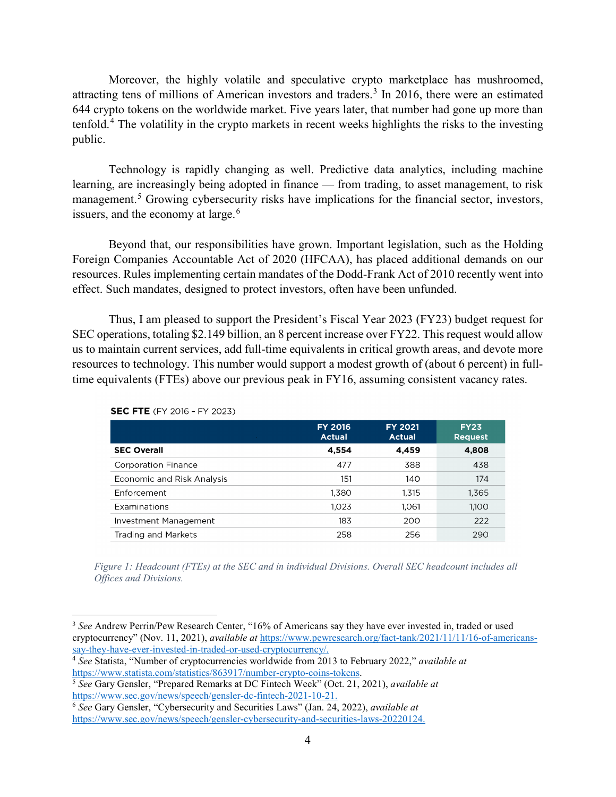Moreover, the highly volatile and speculative crypto marketplace has mushroomed, attracting tens of millions of American investors and traders. [3](#page-3-0) In 2016, there were an estimated 644 crypto tokens on the worldwide market. Five years later, that number had gone up more than tenfold.[4](#page-3-1) The volatility in the crypto markets in recent weeks highlights the risks to the investing public.

Technology is rapidly changing as well. Predictive data analytics, including machine learning, are increasingly being adopted in finance — from trading, to asset management, to risk management.<sup>[5](#page-3-2)</sup> Growing cybersecurity risks have implications for the financial sector, investors, issuers, and the economy at large. $^6$  $^6$ 

Beyond that, our responsibilities have grown. Important legislation, such as the Holding Foreign Companies Accountable Act of 2020 (HFCAA), has placed additional demands on our resources. Rules implementing certain mandates of the Dodd-Frank Act of 2010 recently went into effect. Such mandates, designed to protect investors, often have been unfunded.

Thus, I am pleased to support the President's Fiscal Year 2023 (FY23) budget request for SEC operations, totaling \$2.149 billion, an 8 percent increase over FY22. This request would allow us to maintain current services, add full-time equivalents in critical growth areas, and devote more resources to technology. This number would support a modest growth of (about 6 percent) in fulltime equivalents (FTEs) above our previous peak in FY16, assuming consistent vacancy rates.

|                                   | <b>FY 2016</b><br><b>Actual</b> | <b>FY 2021</b><br><b>Actual</b> | <b>FY23</b><br><b>Request</b> |
|-----------------------------------|---------------------------------|---------------------------------|-------------------------------|
| <b>SEC Overall</b>                | 4,554                           | 4,459                           | 4,808                         |
| <b>Corporation Finance</b>        | 477                             | 388                             | 438                           |
| <b>Economic and Risk Analysis</b> | 151                             | 140                             | 174                           |
| Enforcement                       | 1,380                           | 1.315                           | 1,365                         |
| Examinations                      | 1.023                           | 1.061                           | 1.100                         |
| Investment Management             | 183                             | 200                             | 222                           |
| <b>Trading and Markets</b>        | 258                             | 256                             | 290                           |
|                                   |                                 |                                 |                               |

**SEC FTE** (FY 2016 - FY 2023)

l

*Figure 1: Headcount (FTEs) at the SEC and in individual Divisions. Overall SEC headcount includes all Offices and Divisions.*

<span id="page-3-0"></span><sup>&</sup>lt;sup>3</sup> See Andrew Perrin/Pew Research Center, "16% of Americans say they have ever invested in, traded or used cryptocurrency" (Nov. 11, 2021), *available at* [https://www.pewresearch.org/fact-tank/2021/11/11/16-of-americans](https://www.pewresearch.org/fact-tank/2021/11/11/16-of-americans-say-they-have-ever-invested-in-traded-or-used-cryptocurrency/)[say-they-have-ever-invested-in-traded-or-used-cryptocurrency/.](https://www.pewresearch.org/fact-tank/2021/11/11/16-of-americans-say-they-have-ever-invested-in-traded-or-used-cryptocurrency/)

<span id="page-3-1"></span><sup>4</sup> *See* Statista, "Number of cryptocurrencies worldwide from 2013 to February 2022," *available at*  [https://www.statista.com/statistics/863917/number-crypto-coins-tokens.](https://www.statista.com/statistics/863917/number-crypto-coins-tokens/#:%7E:text=How%20many%20cryptocurrencies%20are%20there,of%20digital%20coins%20in%202013) 5 *See* Gary Gensler, "Prepared Remarks at DC Fintech Week" (Oct. 21, 2021), *available at*

<span id="page-3-2"></span>[https://www.sec.gov/news/speech/gensler-dc-fintech-2021-10-21.](https://www.sec.gov/news/speech/gensler-dc-fintech-2021-10-21)

<span id="page-3-3"></span><sup>6</sup> *See* Gary Gensler, "Cybersecurity and Securities Laws" (Jan. 24, 2022), *available at*  [https://www.sec.gov/news/speech/gensler-cybersecurity-and-securities-laws-20220124.](https://www.sec.gov/news/speech/gensler-cybersecurity-and-securities-laws-20220124)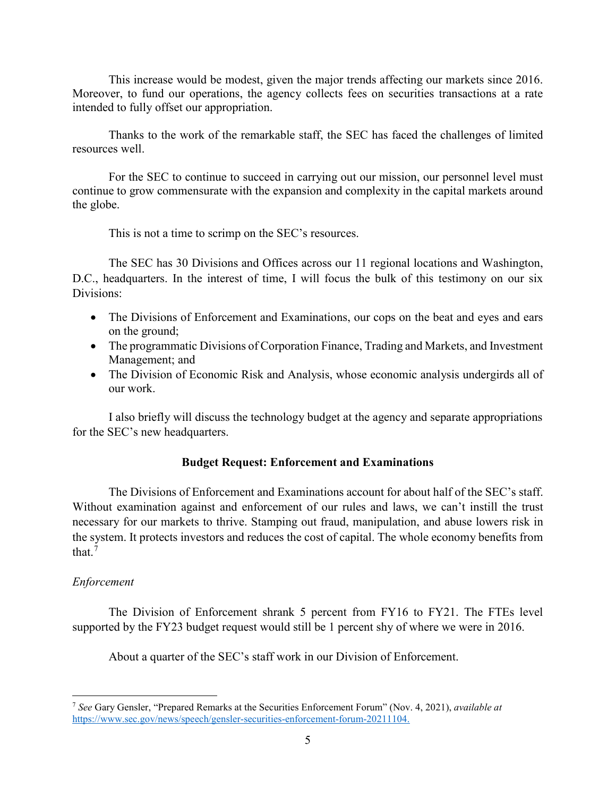This increase would be modest, given the major trends affecting our markets since 2016. Moreover, to fund our operations, the agency collects fees on securities transactions at a rate intended to fully offset our appropriation.

Thanks to the work of the remarkable staff, the SEC has faced the challenges of limited resources well.

For the SEC to continue to succeed in carrying out our mission, our personnel level must continue to grow commensurate with the expansion and complexity in the capital markets around the globe.

This is not a time to scrimp on the SEC's resources.

The SEC has 30 Divisions and Offices across our 11 regional locations and Washington, D.C., headquarters. In the interest of time, I will focus the bulk of this testimony on our six Divisions:

- The Divisions of Enforcement and Examinations, our cops on the beat and eyes and ears on the ground;
- The programmatic Divisions of Corporation Finance, Trading and Markets, and Investment Management; and
- The Division of Economic Risk and Analysis, whose economic analysis undergirds all of our work.

I also briefly will discuss the technology budget at the agency and separate appropriations for the SEC's new headquarters.

# **Budget Request: Enforcement and Examinations**

The Divisions of Enforcement and Examinations account for about half of the SEC's staff. Without examination against and enforcement of our rules and laws, we can't instill the trust necessary for our markets to thrive. Stamping out fraud, manipulation, and abuse lowers risk in the system. It protects investors and reduces the cost of capital. The whole economy benefits from that.[7](#page-4-0)

# *Enforcement*

The Division of Enforcement shrank 5 percent from FY16 to FY21. The FTEs level supported by the FY23 budget request would still be 1 percent shy of where we were in 2016.

About a quarter of the SEC's staff work in our Division of Enforcement.

<span id="page-4-0"></span>l <sup>7</sup> *See* Gary Gensler, "Prepared Remarks at the Securities Enforcement Forum" (Nov. 4, 2021), *available at*  [https://www.sec.gov/news/speech/gensler-securities-enforcement-forum-20211104.](https://www.sec.gov/news/speech/gensler-securities-enforcement-forum-20211104)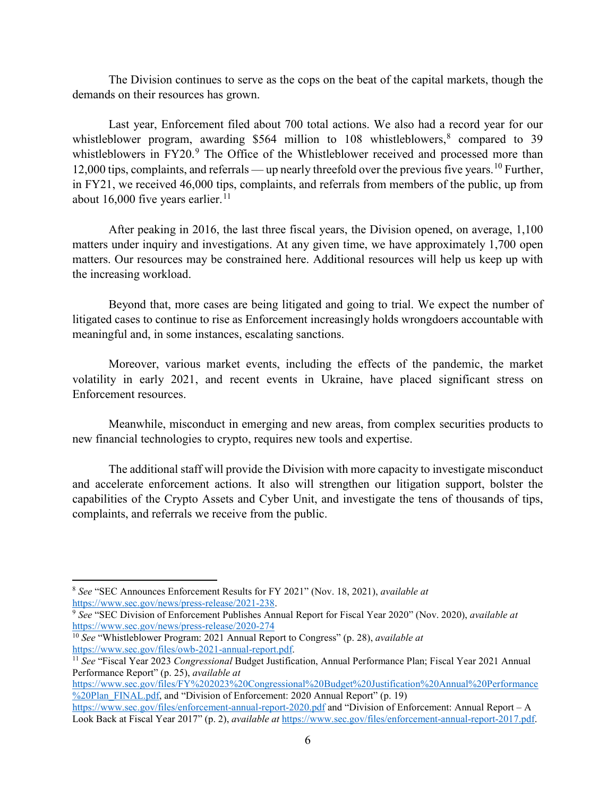The Division continues to serve as the cops on the beat of the capital markets, though the demands on their resources has grown.

Last year, Enforcement filed about 700 total actions. We also had a record year for our whistleblower program, awarding \$564 million to 10[8](#page-5-0) whistleblowers,<sup>8</sup> compared to 39 whistleblowers in FY20.<sup>[9](#page-5-1)</sup> The Office of the Whistleblower received and processed more than 12,000 tips, complaints, and referrals — up nearly threefold over the previous five years.<sup>[10](#page-5-2)</sup> Further, in FY21, we received 46,000 tips, complaints, and referrals from members of the public, up from about 16,000 five years earlier.<sup>11</sup>

After peaking in 2016, the last three fiscal years, the Division opened, on average, 1,100 matters under inquiry and investigations. At any given time, we have approximately 1,700 open matters. Our resources may be constrained here. Additional resources will help us keep up with the increasing workload.

Beyond that, more cases are being litigated and going to trial. We expect the number of litigated cases to continue to rise as Enforcement increasingly holds wrongdoers accountable with meaningful and, in some instances, escalating sanctions.

Moreover, various market events, including the effects of the pandemic, the market volatility in early 2021, and recent events in Ukraine, have placed significant stress on Enforcement resources.

Meanwhile, misconduct in emerging and new areas, from complex securities products to new financial technologies to crypto, requires new tools and expertise.

The additional staff will provide the Division with more capacity to investigate misconduct and accelerate enforcement actions. It also will strengthen our litigation support, bolster the capabilities of the Crypto Assets and Cyber Unit, and investigate the tens of thousands of tips, complaints, and referrals we receive from the public.

 $\overline{a}$ 

<span id="page-5-0"></span><sup>8</sup> *See* "SEC Announces Enforcement Results for FY 2021" (Nov. 18, 2021), *available at*

<span id="page-5-1"></span><sup>&</sup>lt;sup>9</sup> See "SEC Division of Enforcement Publishes Annual Report for Fiscal Year 2020" (Nov. 2020), *available at* <https://www.sec.gov/news/press-release/2020-274>

<span id="page-5-2"></span><sup>&</sup>lt;sup>10</sup> *See* "Whistleblower Program: 2021 Annual Report to Congress" (p. 28), *available at* https://www.sec.gov/files/owb-2021-annual-report.pdf.

<span id="page-5-3"></span><sup>&</sup>lt;sup>11</sup> See "Fiscal Year 2023 *Congressional* Budget Justification, Annual Performance Plan; Fiscal Year 2021 Annual Performance Report" (p. 25), *available at* 

[https://www.sec.gov/files/FY%202023%20Congressional%20Budget%20Justification%20Annual%20Performance](https://www.sec.gov/files/FY%202023%20Congressional%20Budget%20Justification%20Annual%20Performance%20Plan_FINAL.pdf) [%20Plan\\_FINAL.pdf,](https://www.sec.gov/files/FY%202023%20Congressional%20Budget%20Justification%20Annual%20Performance%20Plan_FINAL.pdf) and "Division of Enforcement: 2020 Annual Report" (p. 19)

<https://www.sec.gov/files/enforcement-annual-report-2020.pdf> and "Division of Enforcement: Annual Report – A Look Back at Fiscal Year 2017" (p. 2), *available at* [https://www.sec.gov/files/enforcement-annual-report-2017.pdf.](https://www.sec.gov/files/enforcement-annual-report-2017.pdf)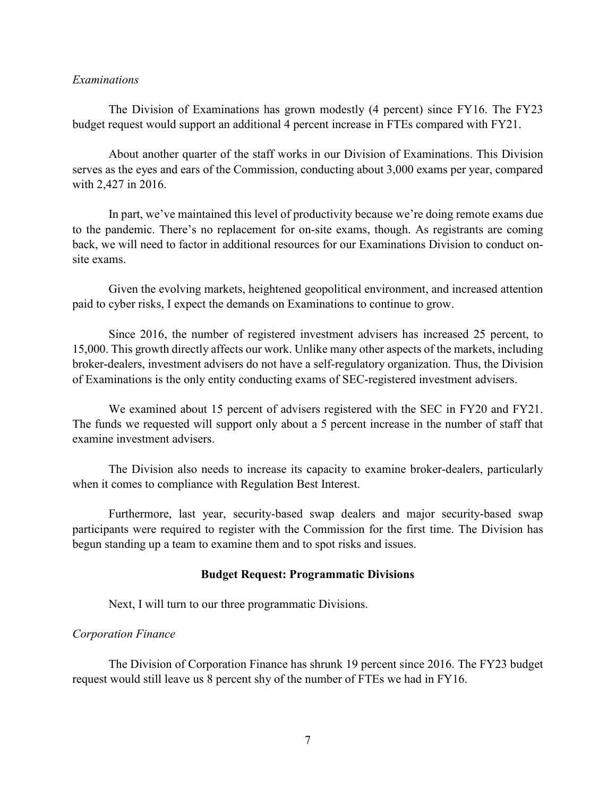### *Examinations*

The Division of Examinations has grown modestly (4 percent) since FY16. The FY23 budget request would support an additional 4 percent increase in FTEs compared with FY21.

About another quarter of the staff works in our Division of Examinations. This Division serves as the eyes and ears of the Commission, conducting about 3,000 exams per year, compared with 2,427 in 2016.

In part, we've maintained this level of productivity because we're doing remote exams due to the pandemic. There's no replacement for on-site exams, though. As registrants are coming back, we will need to factor in additional resources for our Examinations Division to conduct onsite exams.

Given the evolving markets, heightened geopolitical environment, and increased attention paid to cyber risks, I expect the demands on Examinations to continue to grow.

Since 2016, the number of registered investment advisers has increased 25 percent, to 15,000. This growth directly affects our work. Unlike many other aspects of the markets, including broker-dealers, investment advisers do not have a self-regulatory organization. Thus, the Division of Examinations is the only entity conducting exams of SEC-registered investment advisers.

We examined about 15 percent of advisers registered with the SEC in FY20 and FY21. The funds we requested will support only about a 5 percent increase in the number of staff that examine investment advisers.

The Division also needs to increase its capacity to examine broker-dealers, particularly when it comes to compliance with Regulation Best Interest.

Furthermore, last year, security-based swap dealers and major security-based swap participants were required to register with the Commission for the first time. The Division has begun standing up a team to examine them and to spot risks and issues.

#### **Budget Request: Programmatic Divisions**

Next, I will turn to our three programmatic Divisions.

#### *Corporation Finance*

The Division of Corporation Finance has shrunk 19 percent since 2016. The FY23 budget request would still leave us 8 percent shy of the number of FTEs we had in FY16.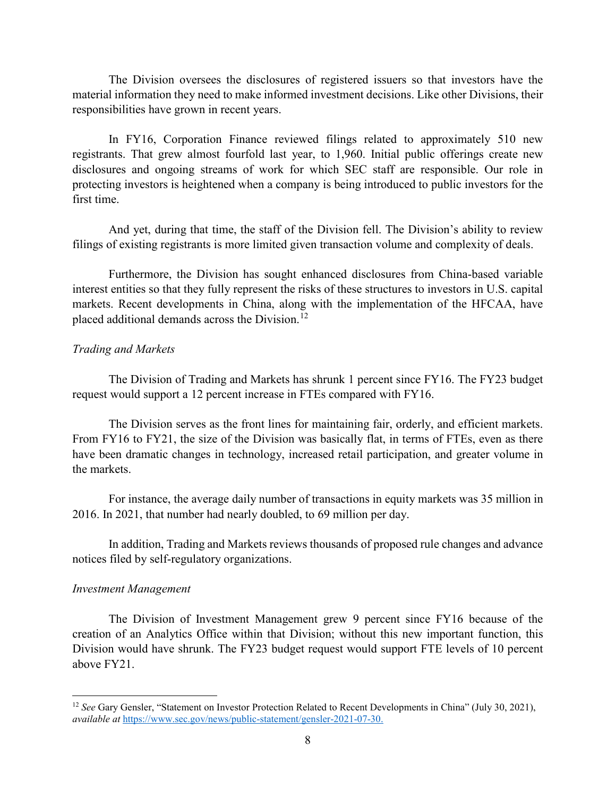The Division oversees the disclosures of registered issuers so that investors have the material information they need to make informed investment decisions. Like other Divisions, their responsibilities have grown in recent years.

In FY16, Corporation Finance reviewed filings related to approximately 510 new registrants. That grew almost fourfold last year, to 1,960. Initial public offerings create new disclosures and ongoing streams of work for which SEC staff are responsible. Our role in protecting investors is heightened when a company is being introduced to public investors for the first time.

And yet, during that time, the staff of the Division fell. The Division's ability to review filings of existing registrants is more limited given transaction volume and complexity of deals.

Furthermore, the Division has sought enhanced disclosures from China-based variable interest entities so that they fully represent the risks of these structures to investors in U.S. capital markets. Recent developments in China, along with the implementation of the HFCAA, have placed additional demands across the Division.<sup>[12](#page-7-0)</sup>

#### *Trading and Markets*

The Division of Trading and Markets has shrunk 1 percent since FY16. The FY23 budget request would support a 12 percent increase in FTEs compared with FY16.

The Division serves as the front lines for maintaining fair, orderly, and efficient markets. From FY16 to FY21, the size of the Division was basically flat, in terms of FTEs, even as there have been dramatic changes in technology, increased retail participation, and greater volume in the markets.

For instance, the average daily number of transactions in equity markets was 35 million in 2016. In 2021, that number had nearly doubled, to 69 million per day.

In addition, Trading and Markets reviews thousands of proposed rule changes and advance notices filed by self-regulatory organizations.

#### *Investment Management*

l

The Division of Investment Management grew 9 percent since FY16 because of the creation of an Analytics Office within that Division; without this new important function, this Division would have shrunk. The FY23 budget request would support FTE levels of 10 percent above FY21.

<span id="page-7-0"></span><sup>12</sup> *See* Gary Gensler, "Statement on Investor Protection Related to Recent Developments in China" (July 30, 2021), *available at* [https://www.sec.gov/news/public-statement/gensler-2021-07-30.](https://www.sec.gov/news/public-statement/gensler-2021-07-30)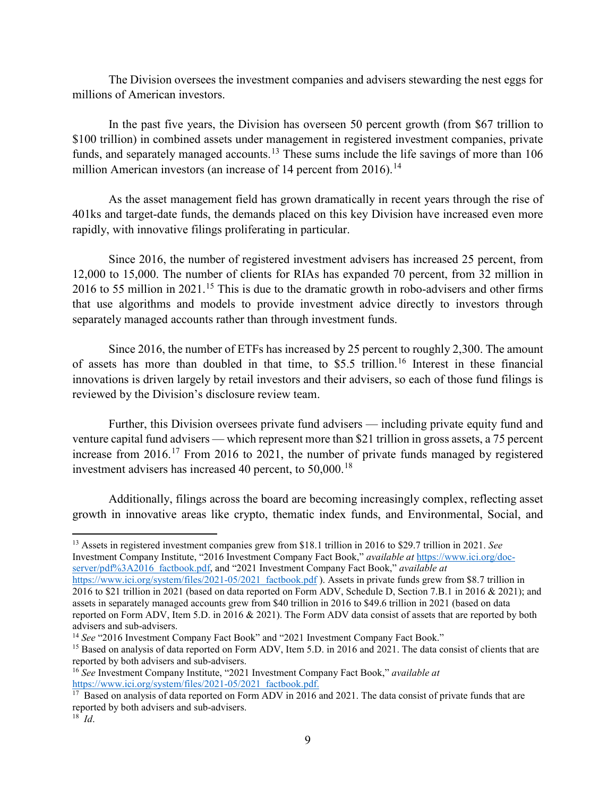The Division oversees the investment companies and advisers stewarding the nest eggs for millions of American investors.

In the past five years, the Division has overseen 50 percent growth (from \$67 trillion to \$100 trillion) in combined assets under management in registered investment companies, private funds, and separately managed accounts.<sup>[13](#page-8-0)</sup> These sums include the life savings of more than  $106$ million American investors (an increase of [14](#page-8-1) percent from 2016).<sup>14</sup>

As the asset management field has grown dramatically in recent years through the rise of 401ks and target-date funds, the demands placed on this key Division have increased even more rapidly, with innovative filings proliferating in particular.

Since 2016, the number of registered investment advisers has increased 25 percent, from 12,000 to 15,000. The number of clients for RIAs has expanded 70 percent, from 32 million in 2016 to 55 million in 2021.<sup>[15](#page-8-2)</sup> This is due to the dramatic growth in robo-advisers and other firms that use algorithms and models to provide investment advice directly to investors through separately managed accounts rather than through investment funds.

Since 2016, the number of ETFs has increased by 25 percent to roughly 2,300. The amount of assets has more than doubled in that time, to \$5.5 trillion.<sup>[16](#page-8-3)</sup> Interest in these financial innovations is driven largely by retail investors and their advisers, so each of those fund filings is reviewed by the Division's disclosure review team.

Further, this Division oversees private fund advisers — including private equity fund and venture capital fund advisers — which represent more than \$21 trillion in gross assets, a 75 percent increase from 2016.[17](#page-8-4) From 2016 to 2021, the number of private funds managed by registered investment advisers has increased 40 percent, to 50,000.<sup>[18](#page-8-5)</sup>

Additionally, filings across the board are becoming increasingly complex, reflecting asset growth in innovative areas like crypto, thematic index funds, and Environmental, Social, and

l

<span id="page-8-0"></span><sup>13</sup> Assets in registered investment companies grew from \$18.1 trillion in 2016 to \$29.7 trillion in 2021. *See*  Investment Company Institute, "2016 Investment Company Fact Book," *available at* [https://www.ici.org/doc](https://www.ici.org/doc-server/pdf%3A2016_factbook.pdf)[server/pdf%3A2016\\_factbook.pdf,](https://www.ici.org/doc-server/pdf%3A2016_factbook.pdf) and "2021 Investment Company Fact Book," *available at*

[https://www.ici.org/system/files/2021-05/2021\\_factbook.pdf](https://www.ici.org/system/files/2021-05/2021_factbook.pdf) ). Assets in private funds grew from \$8.7 trillion in 2016 to \$21 trillion in 2021 (based on data reported on Form ADV, Schedule D, Section 7.B.1 in 2016 & 2021); and assets in separately managed accounts grew from \$40 trillion in 2016 to \$49.6 trillion in 2021 (based on data reported on Form ADV, Item 5.D. in 2016 & 2021). The Form ADV data consist of assets that are reported by both advisers and sub-advisers.

<span id="page-8-1"></span><sup>&</sup>lt;sup>14</sup> See "2016 Investment Company Fact Book" and "2021 Investment Company Fact Book."

<span id="page-8-2"></span><sup>&</sup>lt;sup>15</sup> Based on analysis of data reported on Form ADV, Item 5.D. in 2016 and 2021. The data consist of clients that are reported by both advisers and sub-advisers.

<span id="page-8-3"></span><sup>16</sup> *See* Investment Company Institute, "2021 Investment Company Fact Book," *available at* [https://www.ici.org/system/files/2021-05/2021\\_factbook.pdf.](https://www.ici.org/system/files/2021-05/2021_factbook.pdf)

<span id="page-8-5"></span><span id="page-8-4"></span> $17$  Based on analysis of data reported on Form ADV in 2016 and 2021. The data consist of private funds that are reported by both advisers and sub-advisers.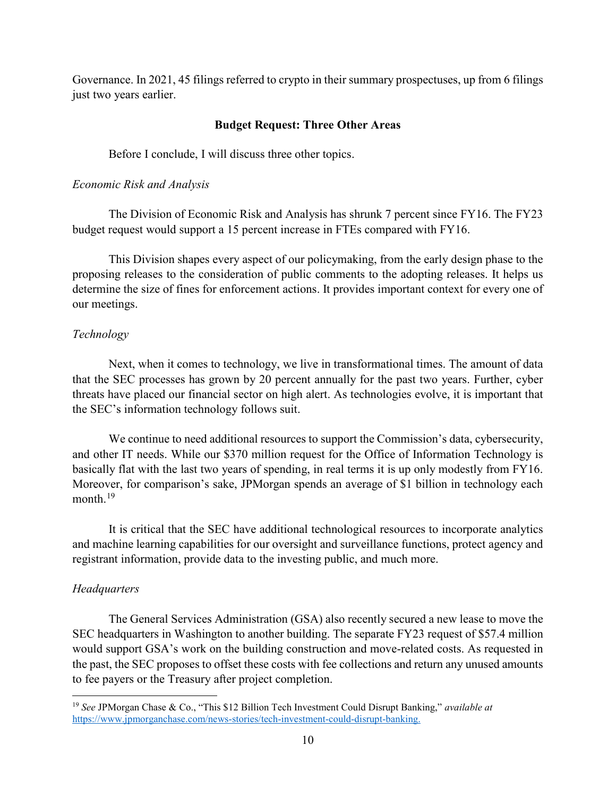Governance. In 2021, 45 filings referred to crypto in their summary prospectuses, up from 6 filings just two years earlier.

## **Budget Request: Three Other Areas**

Before I conclude, I will discuss three other topics.

#### *Economic Risk and Analysis*

The Division of Economic Risk and Analysis has shrunk 7 percent since FY16. The FY23 budget request would support a 15 percent increase in FTEs compared with FY16.

This Division shapes every aspect of our policymaking, from the early design phase to the proposing releases to the consideration of public comments to the adopting releases. It helps us determine the size of fines for enforcement actions. It provides important context for every one of our meetings.

## *Technology*

Next, when it comes to technology, we live in transformational times. The amount of data that the SEC processes has grown by 20 percent annually for the past two years. Further, cyber threats have placed our financial sector on high alert. As technologies evolve, it is important that the SEC's information technology follows suit.

We continue to need additional resources to support the Commission's data, cybersecurity, and other IT needs. While our \$370 million request for the Office of Information Technology is basically flat with the last two years of spending, in real terms it is up only modestly from FY16. Moreover, for comparison's sake, JPMorgan spends an average of \$1 billion in technology each month.<sup>[19](#page-9-0)</sup>

It is critical that the SEC have additional technological resources to incorporate analytics and machine learning capabilities for our oversight and surveillance functions, protect agency and registrant information, provide data to the investing public, and much more.

## *Headquarters*

l

The General Services Administration (GSA) also recently secured a new lease to move the SEC headquarters in Washington to another building. The separate FY23 request of \$57.4 million would support GSA's work on the building construction and move-related costs. As requested in the past, the SEC proposes to offset these costs with fee collections and return any unused amounts to fee payers or the Treasury after project completion.

<span id="page-9-0"></span><sup>19</sup> *See* JPMorgan Chase & Co., "This \$12 Billion Tech Investment Could Disrupt Banking," *available at* [https://www.jpmorganchase.com/news-stories/tech-investment-could-disrupt-banking.](https://www.jpmorganchase.com/news-stories/tech-investment-could-disrupt-banking)